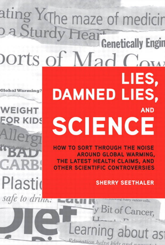# ating Y<sub>The maze of medicir</sub><br>D.a. Sturdy Heart ports of Mad Cow LIES.

**Global Warming?** 

**WEIGHT** 

**FOR KIDS** 

Allerg

**BAT** 

**CARB** 

Plastic

safe to drinn:

**DAMNED LIES, AND SCIENCE** 

**HOW TO SORT THROUGH THE NOISE** AROUND GLOBAL WARMING, THE LATEST HEALTH CLAIMS, AND **OTHER SCIENTIFIC CONTROVERSIES** 

**SHERRY SEETHALER** 

y Bit of Cancer,

earning about as:

Education helps kids and now

many cancer cells.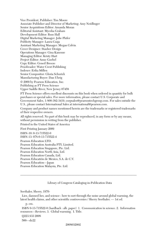Vice President, Publisher: Tim Moore Associate Publisher and Director of Marketing: Amy Neidlinger Senior Acquisitions Editor: Amanda Moran Editorial Assistant: Myesha Graham Development Editor: Russ Hall Digital Marketing Manager: Julie Phifer Publicity Manager: Laura Czaja Assistant Marketing Manager: Megan Colvin Cover Designer: Stauber Design Operations Manager: Gina Kanouse Managing Editor: Kristy Hart Project Editor: Anne Goebel Copy Editor: Geneil Breeze Proofreader: Water Crest Publishing Indexer: Erika Millen Senior Compositor: Gloria Schurick Manufacturing Buyer: Dan Uhrig © 2009 by Pearson Education, Inc. Publishing as FT Press Science Upper Saddle River, New Jersey 07458 FT Press Science offers excellent discounts on this book when ordered in quantity for bulk purchases or special sales. For more information, please contact U.S. Corporate and Government Sales, 1-800-382-3419, corpsales@pearsontechgroup.com. For sales outside the U.S., please contact International Sales at international@pearson.com. Company and product names mentioned herein are the trademarks or registered trademarks of their respective owners. All rights reserved. No part of this book may be reproduced, in any form or by any means, without permission in writing from the publisher. Printed in the United States of America First Printing January 2009 ISBN-10: 0-13-715522-0 ISBN-13: 978-0-13-715522-4 Pearson Education LTD. Pearson Education Australia PTY, Limited.

Pearson Education Singapore, Pte. Ltd. Pearson Education North Asia, Ltd. Pearson Education Canada, Ltd. Pearson Educatión de Mexico, S.A. de C.V. Pearson Education—Japan Pearson Education Malaysia, Pte. Ltd.

#### Library of Congress Cataloging-in-Publication Data

\_\_\_\_\_\_\_\_\_\_\_\_\_\_\_\_\_\_\_\_\_\_\_\_\_\_\_\_\_\_\_\_\_\_\_\_\_\_\_\_\_\_\_\_\_\_\_\_\_\_\_\_\_\_\_\_\_\_\_\_\_\_\_\_\_\_\_\_\_\_\_\_\_\_\_\_\_

Seethaler, Sherry, 1970-

Lies, damned lies, and science : how to sort through the noise around global warming, the latest health claims, and other scientific controversies / Sherry Seethaler. — 1st ed.

p. cm.

ISBN 0-13-715522-0 (hardback : alk. paper) 1. Communication in science. 2. Information resources—Reviews. 3. Global warming. I. Title.

Q223.S33 2008

500—dc22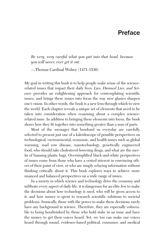# Preface

<span id="page-2-0"></span>*Be very, very careful what you put into that head, because you will never, ever get it out.*

—Thomas Cardinal Wolsey (1471-1530)

My goal in writing this book is to help people make sense of the sciencerelated issues that impact their daily lives. *Lies, Damned Lies, and Science* provides an enlightening approach for contemplating scientific issues, and brings these issues into focus the way new glasses sharpen one's vision. In other words, the book is a new lens through which to view the world. Each chapter reveals a unique set of elements that need to be taken into consideration when reasoning about a complex sciencerelated issue. In addition to bringing these elements into focus, the book shows how they fit together into something greater than a sum of parts.

Most of the messages that bombard us everyday are carefully selected to present just one of a kaleidoscope of possible perspectives on technological, environmental, economic, and health issues such as global warming, mad cow disease, nanotechnology, genetically engineered food, who should take cholesterol-lowering drugs, and what are the merits of banning plastic bags. Oversimplified black-and-white perspectives of issues come from those who have a vested interest in convincing others of their point of view, or who are simply relaying information without thinking critically about it. This book explores ways to achieve more nuanced and balanced perspectives on a wide range of issues.

In a society in which science and technology drive the economy and infiltrate every aspect of daily life, it is dangerous for an elite few to make the decisions about how technology is used, who will be given access to it, and how money is spent to research scientific solutions to societal problems. Ironically, those with the power to make these decisions rarely have any background in science. Therefore, they are especially vulnerable to being hoodwinked by those who hold stake in an issue and have the money to get their voices heard. Yet, we too can make our voices heard through sound, evidence-based political, consumer, and medical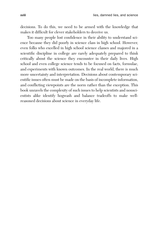decisions. To do this, we need to be armed with the knowledge that makes it difficult for clever stakeholders to deceive us.

Too many people lost confidence in their ability to understand science because they did poorly in science class in high school. However, even folks who excelled in high school science classes and majored in a scientific discipline in college are rarely adequately prepared to think critically about the science they encounter in their daily lives. High school and even college science tends to be focused on facts, formulae, and experiments with known outcomes. In the real world, there is much more uncertainty and interpretation. Decisions about contemporary scientific issues often must be made on the basis of incomplete information, and conflicting viewpoints are the norm rather than the exception. This book unravels the complexity of such issues to help scientists and nonscientists alike identify hogwash and balance tradeoffs to make wellreasoned decisions about science in everyday life.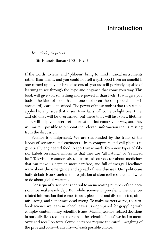# Introduction

<span id="page-4-0"></span>*Knowledge is power.*

—Sir Francis Bacon (1561-1626)

If the words "xylem" and "phloem" bring to mind musical instruments rather than plants, and you could not tell a gastropod from an annelid if one turned up in your breakfast cereal, you are still perfectly capable of learning to see through the hype and hogwash that come your way. This book will give you something more powerful than facts. It will give you tools—the kind of tools that no one (not even the self-proclaimed science nerd) learned in school. The power of these tools is that they can be applied to any issue that arises. New facts will come to light over time, and old ones will be overturned, but these tools will last you a lifetime. They will help you interpret information that comes your way, and they will make it possible to pinpoint the relevant information that is missing from the discussion.

Science is omnipresent. We are surrounded by the fruits of the labors of scientists and engineers—from computers and cell phones to genetically engineered food to sportswear made from new types of fabric. Labels on snacks inform us that they are "all natural" or "reduced fat." Television commercials tell us to ask our doctor about medicines that can make us happier, more carefree, and full of energy. Headlines warn about the emergence and spread of new diseases. Our politicians hotly debate issues such as the regulation of stem cell research and what to do about global warming.

Consequently, science is central to an increasing number of the decisions we make each day. But while science is prevalent, the sciencerelated information that comes to us is piecemeal and disconnected, often misleading, and sometimes dead wrong. To make matters worse, the textbook science we learn in school leaves us unprepared for grappling with complex contemporary scientific issues. Making science-related decisions in our daily lives requires more than the scientific "facts" we had to memorize and recall on tests. Sound decisions require the careful weighing of the pros and cons—tradeoffs—of each possible choice.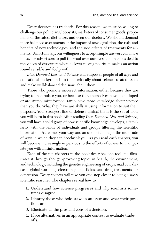<span id="page-5-0"></span>Every decision has tradeoffs. For this reason, we must be willing to challenge our politicians, lobbyists, marketers of consumer goods, proponents of the latest diet craze, and even our doctors. We should demand more balanced assessments of the impact of new legislation, the risks and benefits of new technologies, and the side effects of treatments for ailments. Unfortunately, our willingness to accept simple answers can make it easy for advertisers to pull the wool over our eyes, and make us deaf to the voices of dissenters when a clever-talking politician makes an action sound sensible and foolproof.

*Lies, Damned Lies, and Science* will empower people of all ages and educational backgrounds to think critically about science-related issues and make well-balanced decisions about them.

Those who promote incorrect information, either because they are trying to manipulate you, or because they themselves have been duped or are simply misinformed, rarely have more knowledge about science than you do. What they have are skills at using information to suit their purposes. Your strongest line of defense against them is the set of tools you will learn in this book. After reading *Lies, Damned Lies, and Science*, you will have a solid grasp of how scientific knowledge develops, a familiarity with the kinds of individuals and groups filtering the scientific information that comes your way, and an understanding of the multitude of ways in which they can hoodwink you. As you read each chapter, you will become increasingly impervious to the efforts of others to manipulate you with misinformation.

Each of the ten chapters in the book describes one tool and illustrates it through thought-provoking topics in health, the environment, and technology, including the genetic engineering of crops, mad cow disease, global warming, electromagnetic fields, and drug treatments for depression. Every chapter will take you one step closer to being a savvy scientific reasoner. The chapters reveal how to

- **1.** Understand how science progresses and why scientists sometimes disagree.
- **2.** Identify those who hold stake in an issue and what their positions are.
- **3.** Elucidate all the pros and cons of a decision.
- **4.** Place alternatives in an appropriate context to evaluate tradeoffs.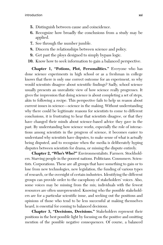- **5.** Distinguish between cause and coincidence.
- **6.** Recognize how broadly the conclusions from a study may be applied.
- **7.** See through the number jumble.
- **8.** Discern the relationships between science and policy.
- **9.** Get past the ploys designed to simply bypass logic.
- **10.** Know how to seek information to gain a balanced perspective.

**Chapter 1, "Potions, Plot, Personalities."** Everyone who has done science experiments in high school or as a freshman in college knows that there is only one correct outcome for an experiment, so why would scientists disagree about scientific findings? Sadly, school science usually presents an unrealistic view of how science really progresses. It gives the impression that doing science is about completing a set of steps, akin to following a recipe. This perspective fails to help us reason about current issues in science—science in the making. Without understanding why there could be legitimate reasons for scientists to come to different conclusions, it is frustrating to hear that scientists disagree, or that they have changed their minds about science-based advice they gave in the past. By understanding how science works, especially the role of interactions among scientists in the progress of science, it becomes easier to understand why scientists have disputes, to make sense of what is actually being disputed, and to recognize when the media is deliberately hyping disputes between scientists for drama, or missing the dispute entirely.

**Chapter 2, "Who's Who?"** Environmentalists. Farmers. Stockholders. Starving people in the poorest nations. Politicians. Consumers. Scientists. Corporations. These are all groups that have something to gain or to lose from new technologies, new legislation, the funding of various types of research, or the oversight of certain industries. Identifying the different groups can provide order to the cacophony of stakeholders' voices. Also, some voices may be missing from the mix; individuals with the fewest resources are often unrepresented. Knowing who the possible stakeholders are for a particular scientific issue, and seeking out the positions and opinions of those who tend to be less successful at making themselves heard, is essential for coming to balanced decisions.

**Chapter 3, "Decisions, Decisions."** Stakeholders represent their positions in the best possible light by focusing on the positive and omitting mention of the possible negative consequences. Of course, a balanced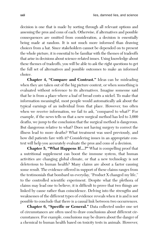decision is one that is made by sorting through all relevant options and assessing the pros and cons of each. Otherwise, if alternatives and possible consequences are omitted from consideration, a decision is essentially being made at random. It is not much more informed than drawing choices from a hat. Since stakeholders cannot be depended on to present the whole picture, it is essential to be familiar with the themes of tradeoffs that arise in decisions about science-related issues. Using knowledge about these themes of tradeoffs, you will be able to ask the right questions to get the full set of alternatives and possible outcomes to make an informed choice.

**Chapter 4, "Compare and Contrast."** Ideas can be misleading when they are taken out of the big picture context, or when something is evaluated without reference to its alternatives. Imagine someone said that he is from a place where a loaf of bread costs a nickel. To make that information meaningful, most people would automatically ask about the typical earnings of an individual from that place. However, too often when we receive information, we fail to ask, "compared to what?" For example, if the news tells us that a new surgical method has led to 3,000 deaths, we jump to the conclusion that the surgical method is dangerous. But dangerous relative to what? Does not having surgery to correct the illness lead to more deaths? What treatment was used previously, and how did patients fare with it? Considering issues in an appropriate context will help you accurately evaluate the pros and cons of a decision.

**Chapter 5, "What Happens If…?"** What is compelling proof that a nutritional supplement can boost the immune system, that human activities are changing global climate, or that a new technology is not deleterious to human health? Many claims are about a factor causing some result. The evidence offered in support of these claims ranges from the testimonials that bombard us everyday, "Product X changed my life," to the controlled scientific experiment. Despite what the plethora of claims may lead one to believe, it is difficult to prove that two things are linked by cause rather than coincidence. Delving into the strengths and weaknesses of the different types of evidence reveals when it is and is not possible to conclude that there is a causal link between two occurrences.

**Chapter 6, "Specific or General."** Data collected under one set of circumstances are often used to draw conclusions about different circumstances. For example, conclusions may be drawn about the danger of a chemical to human health based on toxicity tests in animals. However,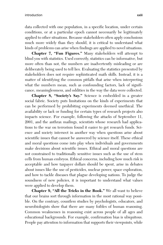<span id="page-8-1"></span><span id="page-8-0"></span>data collected with one population, in a specific location, under certain conditions, or at a particular epoch cannot necessarily be legitimately applied to other situations. Because stakeholders often apply conclusions much more widely than they should, it is critical to understand what kinds of problems can arise when findings are applied to novel situations.

**Chapter 7, "Fun Figures."** Many stakeholders will attempt to blind you with statistics. Used correctly, statistics can be informative, but more often than not, the numbers are inadvertently misleading or are deliberately being used to tell lies. Evaluating the statistics presented by stakeholders does not require sophisticated math skills. Instead, it is a matter of identifying the common pitfalls that arise when interpreting what the numbers mean, such as confounding factors, lack of significance, meaninglessness, and oddities in the way the data were collected.

**Chapter 8, "Society's Say."** Science is embedded in a greater social fabric. Society puts limitations on the kinds of experiments that can be performed by prohibiting experiments deemed unethical. The availability or lack or funding for certain types of research projects also impacts science. For example, following the attacks of September 11, 2001, and the anthrax mailings, scientists whose research had applications to the war on terrorism found it easier to get research funds. Science and society intersect in another way when questions arise about scientific issues that cannot be answered by science itself. These ethical and moral questions come into play when individuals and governments make decisions about scientific issues. Ethical and moral questions are not constrained to traditionally sensitive issues such as the use of stem cells from human embryos. Ethical concerns, including how much risk is acceptable and how taxpayer dollars should be spent, arise in debates about issues like the use of pesticides, nuclear power, space exploration, and how to tackle diseases that plague developing nations. To judge the soundness of new policies, it is important to understand what values were applied to develop them.

**Chapter 9, "All the Tricks in the Book."** We all want to believe that our brains sort through information in the most rational way possible. On the contrary, countless studies by psychologists, educators, and neurobiologists show that there are many foibles of human reasoning. Common weaknesses in reasoning exist across people of all ages and educational backgrounds. For example, confirmation bias is ubiquitous. People pay attention to information that supports their viewpoints, while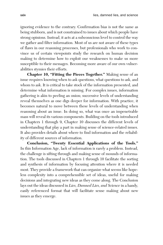ignoring evidence to the contrary. Confirmation bias is not the same as being stubborn, and is not constrained to issues about which people have strong opinions. Instead, it acts at a subconscious level to control the way we gather and filter information. Most of us are not aware of these types of flaws in our reasoning processes, but professionals who work to convince us of certain viewpoints study the research on human decision making to determine how to exploit our weaknesses to make us more susceptible to their messages. Becoming more aware of our own vulnerabilities stymies their efforts.

**Chapter 10, "Fitting the Pieces Together."** Making sense of an issue requires knowing when to ask questions, what questions to ask, and whom to ask. It is critical to take stock of the information presented, and determine what information is missing. For complex issues, information gathering is akin to peeling an onion; successive levels of understanding reveal themselves as one digs deeper for information. With practice, it becomes natural to move between these levels of understanding when reasoning about an issue. In doing so, what was once an impenetrable mass will reveal its various components. Building on the tools introduced in Chapters 1 through 9, Chapter 10 discusses the different levels of understanding that play a part in making sense of science-related issues. It also provides details about where to find information and the reliability of different sources of information.

**Conclusion, "Twenty Essential Applications of the Tools."** In this Information Age, lack of information is rarely a problem. Instead, the challenge is sifting through and making sense of mounds of information. The tools discussed in Chapters 1 through 10 facilitate the sorting and synthesis of information by focusing attention where it is needed most. They provide a framework that can organize what seems like hopeless complexity into a comprehensible set of ideas, useful for making decisions and integrating new ideas as they come along. The Conclusion lays out the ideas discussed in *Lies, Damned Lies, and Science* in a handy, easily referenced format that will facilitate sense making about new issues as they emerge.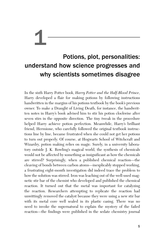# 1

# Potions, plot, personalities: understand how science progresses and why scientists sometimes disagree

In the sixth Harry Potter book, *Harry Potter and the Half-Blood Prince*, Harry developed a flair for making potions by following instructions handwritten in the margins of his potions textbook by the book's previous owner. To make a Draught of Living Death, for instance, the handwritten notes in Harry's book advised him to stir his potion clockwise after seven stirs in the opposite direction. The tiny tweak in the procedure helped Harry achieve potion perfection. Meanwhile, Harry's brilliant friend, Hermione, who carefully followed the original textbook instructions line by line, became frustrated when she could not get her potions to turn out properly. Of course, at Hogwarts School of Witchcraft and Wizardry, potion making relies on magic. Surely, in a university laboratory outside J. K. Rowling's magical world, the synthesis of chemicals would not be affected by something as insignificant as how the chemicals are stirred? Surprisingly, when a published chemical reaction—the cleaving of bonds between carbon atoms—inexplicably stopped working, a frustrating eight-month investigation did indeed trace the problem to how the solution was stirred. Iron was leaching out of the well-used magnetic stir bar of the chemist who developed and published the chemical reaction. It turned out that the metal was important for catalyzing the reaction. Researchers attempting to replicate the reaction had unwittingly removed the catalyst because they were using a new stir bar with its metal core well sealed in its plastic casing. There was no need to invoke the supernatural to explain the mystery of the failed reaction—the findings were published in the sedate chemistry journal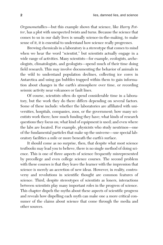*Organometallics*—but this example shows that science, like *Harry Potter*, has a plot with unexpected twists and turns. Because the science that comes to us in our daily lives is usually science-in-the-making, to make sense of it, it is essential to understand how science really progresses.

Brewing chemicals in a laboratory is a stereotype that comes to mind when we hear the word "scientist," but scientists actually engage in a wide range of activities. Many scientists—for example, ecologists, archeologists, climatologists, and geologists—spend much of their time doing field research. This may involve documenting the behavior of animals in the wild to understand population declines, collecting ice cores in Antarctica and using gas bubbles trapped within them to gain information about changes in the earth's atmosphere over time, or recording seismic activity near volcanoes or fault lines.

Of course, scientists often do spend considerable time in a laboratory, but the work they do there differs depending on several factors. Some of these include: whether the laboratories are affiliated with universities, hospitals, companies, zoos, or the government; how many scientists work there; how much funding they have; what kinds of research questions they focus on; what kind of equipment is used; and even where the labs are located. For example, physicists who study neutrinos—one of the fundamental particles that make up the universe—use special laboratory facilities a mile or more beneath the earth's surface.

It should come as no surprise, then, that despite what most science textbooks may lead you to believe, there is no single method of doing science. This is one of three aspects of science frequently misrepresented by precollege and even college science courses. The second problem with these courses is that they leave the learner with the impression that science is merely an accretion of new ideas. However, in reality, controversy and revolutions in scientific thought are common features of science. Third, despite stereotypes of scientists as loners, interactions between scientists play many important roles in the progress of science. This chapter dispels the myths about these aspects of scientific progress and reveals how dispelling each myth can make one a more critical consumer of the claims about science that come through the media and other sources.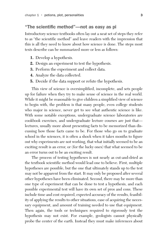# "The scientific method"—not as easy as pi

Introductory science textbooks often lay out a neat set of steps they refer to as "the scientific method" and leave readers with the impression that this is all they need to know about how science is done. The steps most texts describe can be summarized more or less as follows:

- **1.** Develop a hypothesis.
- **2.** Design an experiment to test the hypothesis.
- **3.** Perform the experiment and collect data.
- **4.** Analyze the data collected.
- **5.** Decide if the data support or refute the hypothesis.

This view of science is oversimplified, incomplete, and sets people up for failure when they try to make sense of science in the real world. While it might be reasonable to give children a simplified view of science to begin with, the problem is that many people, even college students who major in science, never get to see what authentic science is like. With some notable exceptions, undergraduate science laboratories are cookbook exercises, and undergraduate lecture courses are just that lectures, usually more about presenting facts to be memorized than discussing how those facts came to be. For those who go on to graduate school in the sciences, it is often a shock when it takes months to figure out why experiments are not working, that what initially seemed to be an exciting result is an error, or (for the lucky ones) that what seemed to be an error turns out to be an exciting result.

The process of testing hypotheses is not nearly as cut-and-dried as the textbook scientific method would lead one to believe. First, multiple hypotheses are possible, but the one that ultimately stands up to the test may not be apparent from the start. It may only be proposed after several other hypotheses have been eliminated. Second, there may be more than one type of experiment that can be done to test a hypothesis, and each possible experimental test will have its own set of pros and cons. These include time and cost required, expected accuracy of the results, feasibility of applying the results to other situations, ease of acquiring the necessary equipment, and amount of training needed to use that equipment. Then again, the tools or techniques required to rigorously test the hypothesis may not exist. For example, geologists cannot physically probe the center of the earth. Instead they must make inferences about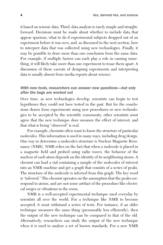it based on seismic data. Third, data analysis is rarely simple and straightforward. Decisions must be made about whether to include data that appear spurious, what to do if experimental subjects dropped out of an experiment before it was over, and, as discussed in the next section, how to interpret data that was collected using new technologies. Finally, it may be possible to draw more than one conclusion from the same data. For example, if multiple factors can each play a role in causing something, it will likely take more than one experiment to tease them apart. A discussion of these caveats of designing experiments and interpreting data is usually absent from media reports about science.

#### *With new tools, researchers can answer new questions—but only after the bugs are worked out*

Over time, as new technologies develop, scientists can begin to test hypotheses they could not have tested in the past. But for the conclusions drawn from experiments using new procedures or new technologies to be accepted by the scientific community, other scientists must agree that the new technique does measure the effect of interest, and that what is being "observed" is real.

For example, chemists often want to know the structure of particular molecules. This information is used in many ways, including drug design. One way to determine a molecule's structure is Nuclear Magnetic Resonance (NMR). NMR relies on the fact that when a molecule is placed in a magnetic field and probed using radio waves, the behavior of the nucleus of each atom depends on the identity of its neighboring atoms. A chemist can load a vial containing a sample of the molecules of interest into an NMR machine and get a graph that consists of a series of peaks. The structure of the molecule is inferred from this graph. The key word is "inferred." The chemist operates on the assumption that the peaks correspond to atoms, and are not some artifact of the procedure like electrical surges or vibrations in the room.

NMR is a well-accepted experimental technique used everyday by scientists all over the world. For a technique like NMR to become accepted, it must withstand a series of tests. For instance, if an older technique measures the same thing (presumably less efficiently), then the output of the new technique can be compared to that of the old. Alternatively, researchers can study the output of the new technique when it is used to analyze a set of known standards. For a new NMR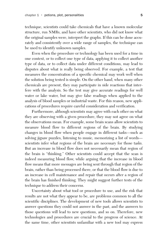technique, scientists could take chemicals that have a known molecular structure, run NMRs, and have other scientists, who did not know what the original samples were, interpret the graphs. If this can be done accurately and consistently over a wide range of samples, the technique can be used to identify unknown samples.

Even when the procedure or technology has been used for a time in one context, or to collect one type of data, applying it to collect another type of data, or to collect data under different conditions, may lead to disputes about what is really being observed. For example, a test that measures the concentration of a specific chemical may work well when the solution being tested is simple. On the other hand, when many other chemicals are present, they may participate in side reactions that interfere with the analysis. So the test may give accurate readings for well water or lake water, but may give false readings when applied to the analysis of blood samples or industrial waste. For this reason, new applications of procedures require careful consideration and verification.

Furthermore, although scientists may agree with each other on what they are observing with a given procedure, they may not agree on what the observations mean. For example, some brain scans allow scientists to measure blood flow to different regions of the brain. By studying changes in blood flow when people engage in different tasks—such as solving jigsaw puzzles, listening to music, memorizing a list of words scientists infer what regions of the brain are necessary for those tasks. But an increase in blood flow does not necessarily mean that region of the brain is "thinking." Other scientists could accept that the scan is indeed measuring blood flow, while arguing that the increase in blood flow means that more messages are being sent through that region of the brain, rather than being processed there, or that the blood flow is due to an increase in cell maintenance and repair that occurs after a region of the brain has finished thinking. They might suggest further tests of the technique to address their concerns.

Uncertainty about what tool or procedure to use, and the risk that results are not what they appear to be, are problems common to all the scientific disciplines. The development of new tools allows scientists to answer questions they could not answer in the past, and the answers to those questions will lead to new questions, and so on. Therefore, new technologies and procedures are crucial to the progress of science. At the same time, other scientists unfamiliar with a new tool may express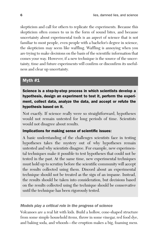skepticism and call for others to replicate the experiments. Because this skepticism often comes to us in the form of sound bites, and because uncertainty about experimental tools is an aspect of science that is not familiar to most people, even people with a bachelor's degree in science, the skepticism may seem like waffling. Waffling is annoying when you are trying to make decisions on the basis of the scientific information that comes your way. However, if a new technique is the source of the uncertainty, time and future experiments will confirm or disconfirm its usefulness and clear up uncertainty.

# Myth #1

Science is a step-by-step process in which scientists develop a hypothesis, design an experiment to test it, perform the experiment, collect data, analyze the data, and accept or refute the hypothesis based on it.

Not exactly. If science really were so straightforward, hypotheses would not remain untested for long periods of time. Scientists would not disagree about results.

#### Implications for making sense of scientific issues:

A basic understanding of the challenges scientists face in testing hypotheses takes the mystery out of why hypotheses remain untested and why scientists disagree. For example, new experimental techniques make it possible to test hypotheses that could not be tested in the past. At the same time, new experimental techniques must hold up to scrutiny before the scientific community will accept the results collected using them. Discord about an experimental technique should not be treated as the sign of an impasse. Instead, the results should be taken into consideration, but decisions based on the results collected using the technique should be conservative until the technique has been rigorously tested.

#### *Models play a critical role in the progress of science*

Volcanoes are a real hit with kids. Build a hollow, cone-shaped structure from some simple household items, throw in some vinegar, red food dye, and baking soda, and whoosh—the eruption makes a big, foaming mess.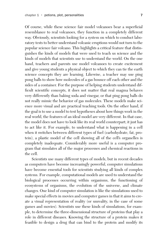Of course, while these science fair model volcanoes bear a superficial resemblance to real volcanoes, they function in a completely different way. Obviously, scientists looking for a system on which to conduct laboratory tests to better understand volcanic eruptions would not turn to the popular science fair volcano. This highlights a critical feature that distinguishes the kinds of models that were used to teach us science and the kinds of models that scientists use to understand the world. On the one hand, teachers and parents use model volcanoes to create excitement and give young students a physical object to which they can tie the earth science concepts they are learning. Likewise, a teacher may use ping pong balls to show how molecules of a gas bounce off each other and the sides of a container. For the purpose of helping students understand difficult scientific concepts, it does not matter that real magma behaves very differently than baking soda and vinegar, or that ping pong balls do not really mimic the behavior of gas molecules. These models make science more visual and are practical teaching tools. On the other hand, if the goal is to use a model to test hypotheses about how things work in the real world, the features of an ideal model are very different. In that case, the model does not have to look like its real world counterpart; it just has to act like it. For example, to understand what is happening in a cell when it switches between different types of fuel (carbohydrate, fat, protein), a plastic model of the cell showing all of the cell's organelles is completely inadequate. Considerably more useful is a computer program that simulates all of the major processes and chemical reactions in the cell.

Scientists use many different types of models, but in recent decades as computers have become increasingly powerful, computer simulations have become essential tools for scientists studying all kinds of complex systems. For example, computational models are used to understand the biological processes occurring within organisms, the functioning of ecosystems of organisms, the evolution of the universe, and climate changes. One kind of computer simulation is like the simulations used to make special effects in movies and computer games in that it aims to create a visual representation of reality (or unreality, in the case of some games and movies). Scientists use these kinds of simulations, for example, to determine the three-dimensional structure of proteins that play a role in different diseases. Knowing the structure of a protein makes it feasible to design a drug that can bind to the protein and modify its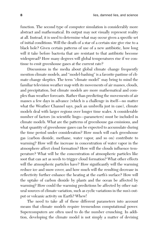function. The second type of computer simulation is considerably more abstract and mathematical. Its output may not visually represent reality at all. Instead, it is used to determine what may occur given a specific set of initial conditions. Will the death of a star of a certain size give rise to a black hole? Given certain patterns of use of a new antibiotic, how long will it take before bacteria that are resistant to that antibiotic become widespread? How many degrees will global temperatures rise if we continue to emit greenhouse gases at the current rate?

Discussions in the media about global climate change frequently mention climate models, and "model-bashing" is a favorite pastime of climate change skeptics. The term "climate model" may bring to mind the familiar television weather map with its movements of air masses, clouds, and precipitation, but climate models are more mathematical and complex than weather forecasts. Rather than predicting the movements of air masses a few days in advance (which is a challenge in itself—no matter what the Weather Channel says, pack an umbrella just in case), climate models deal with larger regions over longer time scales. A considerable number of factors (in scientific lingo—parameters) must be included in climate models. What are the patterns of greenhouse gas emissions, and what quantity of greenhouse gases can be expected to accumulate during the time period under consideration? How much will each greenhouse gas (carbon dioxide, methane, water vapor, and so on) contribute to warming? How will the increase in concentration of water vapor in the atmosphere affect cloud formation? How will the clouds influence temperature? What will be the concentration of atmospheric particles like soot that can act as seeds to trigger cloud formation? What other effects will the atmospheric particles have? How significantly will the warming reduce ice and snow cover, and how much will the resulting decrease in reflectivity further enhance the heating at the earth's surface? How will the uptake of carbon dioxide by plants and the ocean be affected by warming? How could the warming predictions be affected by other natural sources of climate variation, such as cyclic variations in the sun's output or volcanic activity on Earth? Whew!

The need to take all of these different parameters into account means that climate models require tremendous computational power. Supercomputers are often used to do the number crunching. In addition, developing the climate model is not simply a matter of devising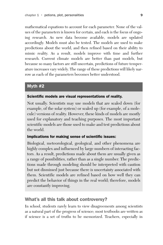mathematical equations to account for each parameter. None of the values of the parameters is known for certain, and each is the focus of ongoing research. As new data become available, models are updated accordingly. Models must also be tested. The models are used to make predictions about the world, and then refined based on their ability to mimic reality. As a result, models improve with time and further research. Current climate models are better than past models, but because so many factors are still uncertain, predictions of future temperature increases vary widely. The range of these predictions will likely narrow as each of the parameters becomes better understood.

# Myth #2

#### Scientific models are visual representations of reality.

Not usually. Scientists may use models that are scaled down (for example, of the solar system) or scaled up (for example, of a molecule) versions of reality. However, these kinds of models are mostly used for explanatory and teaching purposes. The most important scientific models are those used to make and test predictions about the world.

#### Implications for making sense of scientific issues:

Biological, meteorological, geological, and other phenomena are highly complex and influenced by large numbers of interacting factors. As a result, predictions made about them are usually given as a range of possibilities, rather than as a single number. The predictions made through modeling should be interpreted with caution but not dismissed just because there is uncertainty associated with them. Scientific models are refined based on how well they can predict the behavior of things in the real world; therefore, models are constantly improving.

# What's all this talk about controversy?

In school, students rarely learn to view disagreements among scientists as a natural part of the progress of science; most textbooks are written as if science is a set of truths to be memorized. Teachers, especially in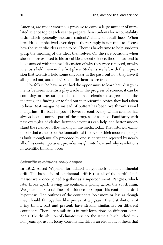America, are under enormous pressure to cover a large number of unrelated science topics each year to prepare their students for accountability tests, which generally measure students' ability to recall facts. When breadth is emphasized over depth, there simply is not time to discuss how the scientific ideas came to be. There is barely time to help students grasp the meaning of the ideas themselves. On the rare occasions when students are exposed to historical ideas about science, those ideas tend to be dismissed with minimal discussion of why they were replaced, or why scientists held them in the first place. Students are left with the impression that scientists held some silly ideas in the past, but now they have it all figured out, and today's scientific theories are true.

For folks who have never had the opportunity to learn how disagreements between scientists play a role in the progress of science, it can be confusing or frustrating to be told that scientists disagree about the meaning of a finding, or to find out that scientific advice they had taken to heart (eat margarine instead of butter) has been overthrown (avoid margarine—it's bad for you). However, controversy within science has always been a normal part of the progress of science. Familiarity with past examples of clashes between scientists can help one better understand the science-in-the-making in the media today. The historical example of what came to be the foundational theory on which modern geology is built, though initially proposed by one scientist and rejected by nearly all of his contemporaries, provides insight into how and why revolutions in scientific thinking occur.

#### *Scientific revolutions really happen*

In 1912, Alfred Wegener formulated a hypothesis about continental drift. The basic idea of continental drift is that all of the earth's landmasses were once joined together as a supercontinent, Pangaea, which later broke apart, leaving the continents gliding across the substratum. Wegener had several lines of evidence to support his continental drift hypothesis. The outlines of the continents look more or less as though they should fit together like pieces of a jigsaw. The distributions of living things, past and present, have striking similarities on different continents. There are similarities in rock formations on different continents. The distribution of climates was not the same a few hundred million years ago as it is today. Continental drift is an elegant hypothesis that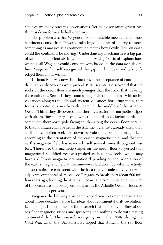can explain many puzzling observations. Yet many scientists gave it two thumbs down for nearly half a century.

The problem was that Wegener had no plausible mechanism for how continents could drift. It would take huge amounts of energy to move something as massive as a continent, no matter how slowly. How on earth could the continents be moving? Understanding mechanism is a big part of science, and scientists frown on "hand-waving" sorts of explanations, which is all Wegener could come up with based on the data available to him. Wegener himself recognized the gaps in his ideas and acknowledged them in his writing.

Ultimately, it was new data that drove the acceptance of continental drift. Three discoveries were pivotal. First, scientists discovered that the rocks on the ocean floor are much younger than the rocks that make up the continents. Second, they found a long chain of mountains, with active volcanoes along its middle and ancient volcanoes bordering them, that forms a continuous north-south seam in the middle of the Atlantic Ocean. Third, they discovered that there is a pattern of magnetic stripes with alternating polarity—some with their north pole facing north and some with their north pole facing south—along the ocean floor, parallel to the mountain chain beneath the Atlantic. Scientists already knew that, as it cools, molten rock laid down by volcanoes becomes magnetized according to the orientation of the earth's magnetic field, and that the earth's magnetic field has reversed itself several times throughout history. Therefore, the magnetic stripes on the ocean floor suggested that magnetized, solidified rock was pushed aside as new rock—which may have a different magnetic orientation depending on the orientation of the earth's magnetic field at the time—was laid down by volcanic activity. These results are consistent with the idea that volcanic activity between adjacent continental plates caused Pangaea to break apart about 200 million years ago, forming the Atlantic Ocean. The continents on either side of the ocean are still being pushed apart as the Atlantic Ocean widens by a couple inches per year.

Wegener died during a research expedition to Greenland in 1930, about three decades before his ideas about continental drift revolutionized geology. In fact, much of the research that led to key findings about sea floor magnetic stripes and spreading had nothing to do with testing continental drift. The research was going on in the 1950s, during the Cold War, when the United States hoped that studying the sea floor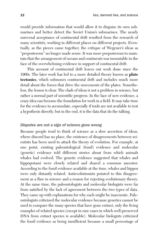would provide information that would allow it to disguise its own submarines and better detect the Soviet Union's submarines. The nearly universal acceptance of continental drift resulted from the research of many scientists, working in different places on different projects. Eventually, as the pieces came together, the critique of Wegener's ideas as "preposterous" no longer made sense. It was more preposterous to maintain that the arrangement of oceans and continents was immutable in the face of the overwhelming evidence in support of continental drift.

This account of continental drift leaves out work done since the 1960s. The later work has led to a more detailed theory known as **plate tectonics**, which subsumes continental drift and includes much more detail about the forces that drive the movements of the plates. Nonetheless, the lesson is clear. The clash of ideas is not a problem in science, but rather a normal part of scientific progress. In the face of new evidence, a crazy idea can become the foundation for work in a field. It may take time for the evidence to accumulate, especially if tools are not available to test a hypothesis directly, but in the end, it is the data that do the talking.

#### *Disputes are not a sign of science gone wrong*

Because people tend to think of science as a slow accretion of ideas, where discord has no place, the existence of disagreements between scientists has been used to attack the theory of evolution. For example, at one point, existing paleontological (fossil) evidence and molecular (genetic) evidence told different stories about from which animals whales had evolved. The genetic evidence suggested that whales and hippopotami were closely related and shared a common ancestor. According to the fossil evidence available at the time, whales and hippos were only distantly related. Antievolutionists pointed to this disagreement as a flaw in science and a reason for rejecting evolutionary theory. At the same time, the paleontologists and molecular biologists were far from satisfied by the lack of agreement between the two types of data. They came up with explanations for why each might be inaccurate. Paleontologists criticized the molecular evidence because genetics cannot be used to compare the many species that have gone extinct, only the living examples of related species (except in rare cases in which well-preserved DNA from extinct species is available). Molecular biologists criticized the fossil evidence as being insufficient because a small percentage of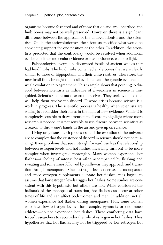organisms become fossilized and of those that do and are unearthed, the limb bones may not be well preserved. However, there is a significant difference between the approach of the antievolutionists and the scientists. Unlike the antievolutionists, the scientists specified what would be convincing support for one position or the other. In addition, the scientists predicted that the controversy would be resolved when additional evidence, either molecular evidence or fossil evidence, came to light.

Paleontologists eventually discovered fossils of ancient whales that had hind limbs. The hind limbs contained ankle bones that were clearly similar to those of hippopotami and their close relatives. Therefore, the new fossil finds brought the fossil evidence and the genetic evidence on whale evolution into agreement. This example shows that pointing to discord between scientists as indicative of a weakness in science is misguided. Scientists point out discord themselves. They seek evidence that will help them resolve the discord. Discord arises because science is a work in progress. The scientific process is healthy when scientists are willing to reconsider their ideas in the light of new evidence. While it is completely sensible to draw attention to discord to highlight where more research is needed, it is not sensible to use discord between scientists as a reason to throw one's hands in the air and give up on science.

Living organisms, earth processes, and the evolution of the universe are so complex that the existence of discord in science should not be puzzling. Even problems that seem straightforward, such as the relationship between estrogen levels and hot flashes, invariably turn out to be more complex when investigated thoroughly. Many women experience hot flashes—a feeling of intense heat often accompanied by flushing and sweating and sometimes followed by chills—as they approach and transition through menopause. Since estrogen levels decrease at menopause, and since estrogen supplements alleviate hot flashes, it is logical to assume that low estrogen levels trigger hot flashes. Some studies are consistent with this hypothesis, but others are not. While considered the hallmark of the menopausal transition, hot flashes can occur at other times of life and can affect both women and men. In addition, not all women experience hot flashes during menopause. Plus, some women who have low estrogen levels—for example, gymnasts or endurance athletes—do not experience hot flashes. These conflicting data have forced researchers to reconsider the role of estrogen in hot flashes. They hypothesize that hot flashes may not be triggered by low estrogen, but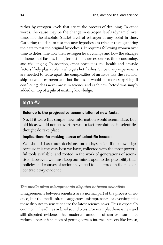rather by estrogen levels that are in the process of declining. In other words, the cause may be the change in estrogen levels (dynamic) over time, not the absolute (static) level of estrogen at any point in time. Gathering the data to test the new hypothesis is trickier than gathering the data to test the original hypothesis. It requires following women over time to determine how their estrogen levels change and how the changes influence hot flashes. Long-term studies are expensive, time consuming, and challenging. In addition, other hormones and health and lifestyle factors likely play a role in who gets hot flashes. Since many experiments are needed to tease apart the complexities of an issue like the relationship between estrogen and hot flashes, it would be more surprising if conflicting ideas never arose in science and each new factoid was simply added on top of a pile of existing knowledge.

# Myth #3

#### Science is the progressive accumulation of new facts.

No. If it were this simple, new information would accumulate, but old ideas would not be overthrown. In fact, revolutions in scientific thought do take place.

#### Implications for making sense of scientific issues:

We should base our decisions on today's scientific knowledge because it is the very best we have, collected with the most powerful tools available, and rooted in the work of generations of scientists. However, we must keep our minds open to the possibility that policies and courses of action may need to be altered in the face of contradictory evidence.

#### *The media often misrepresents disputes between scientists*

Disagreements between scientists are a normal part of the process of science, but the media often exaggerates, misrepresents, or oversimplifies these disputes to sensationalize the latest science news. This is especially common in headlines or brief sound bites. For example, there is new and still disputed evidence that moderate amounts of sun exposure may reduce a person's chances of getting certain internal cancers like breast,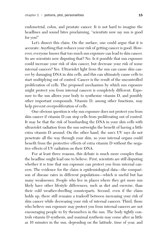endometrial, colon, and prostate cancer. It is not hard to imagine the headlines and sound bites proclaiming, "scientists now say sun is good for you!"

Let's dissect this claim. On the surface, one could argue that it is accurate: Anything that reduces your risk of getting cancer is good. However, everyone knows that too much sun exposure can lead to skin cancer. So are scientists now disputing that? No. Is it possible that sun exposure could increase your risk of skin cancer, but decrease your risk of some internal cancers? Yes. Ultraviolet light from the sun can cause skin cancer by damaging DNA in skin cells, and this can ultimately cause cells to start multiplying out of control. Cancer is the result of the uncontrolled proliferation of cells. The proposed mechanism by which sun exposure might protect you from internal cancers is completely different. Exposure to the sun allows your body to synthesize vitamin D, and possibly other important compounds. Vitamin D, among other functions, may help prevent overproliferation of cells.

One obvious question is why sun exposure does not protect you from skin cancer if vitamin D can stop cells from proliferating out of control. It may be that the risk of bombarding the DNA in your skin cells with ultraviolet radiation from the sun outweighs the benefit of having a little extra vitamin D around. On the other hand, the sun's UV rays do not penetrate all the way through your skin, so your internal organs could benefit from the protective effects of extra vitamin D without the negative effects of UV radiation on their DNA.

For at least three reasons, this debate is much more complex than the headline might lead one to believe. First, scientists are still disputing whether it is true that sun exposure can protect you from internal cancers. The evidence for the claim is epidemiological data—the comparison of disease rates in different populations—which is useful but has many weaknesses. People who live in places where they get more sun likely have other lifestyle differences, such as diet and exercise, than their cold weather-dwelling counterparts. Second, even if the claim holds up, there still remains a tradeoff between increasing your risk of skin cancer while decreasing your risk of internal cancers. Third, those who believe sun exposure may protect you from internal cancers are not encouraging people to fry themselves in the sun. The body tightly controls vitamin D synthesis, and maximal synthesis may come after as little as 10 minutes in the sun, depending on the latitude, time of year, and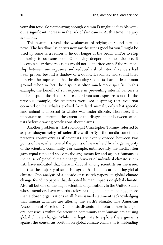your skin tone. So synthesizing enough vitamin D might be feasible without a significant increase in the risk of skin cancer. At this time, the jury is still out.

This example reveals the weaknesses of relying on sound bites as news. The headline "scientists now say the sun is good for you," might be used by some as a reason to lie out longer at the beach and/or to stop bothering to use sunscreen. On delving deeper into the evidence, it becomes clear these reactions would not be merited *even if* the relationship between sun exposure and reduced risk of internal cancers had been proven beyond a shadow of a doubt. Headlines and sound bites may give the impression that the disputing scientists share little common ground, when in fact, the dispute is often much more specific. In this example, the benefit of sun exposure in preventing internal cancers is under dispute; the risk of skin cancer from sun exposure is not. In the previous example, the scientists were not disputing that evolution occurred or that whales evolved from land animals; only what specific land animal is ancestral to whales was under dispute. Therefore, it is important to determine the extent of the disagreement between scientists before drawing conclusions about claims.

Another problem is what sociologist Christopher Toumey referred to as **pseudosymmetry of scientific authority**—the media sometimes presents controversy as if scientists are evenly divided between two points of view, when one of the points of view is held by a large majority of the scientific community. For example, until recently, the media often gave equal time and space to the arguments for and against humans as the cause of global climate change. Surveys of individual climate scientists have indicated that there is discord among scientists on the issue, but that the majority of scientists agree that humans are altering global climate. One analysis of a decade of research papers on global climate change found no papers that disputed human impacts on global climate. Also, all but one of the major scientific organizations in the United States whose members have expertise relevant to global climate change, more than a dozen organizations in all, have issued statements acknowledging that human activities are altering the earth's climate. The American Association of Petroleum Geologists dissents. Therefore, there is a general consensus within the scientific community that humans are causing global climate change. While it is legitimate to explore the arguments against the consensus position on global climate change, it is misleading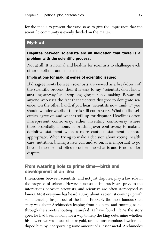for the media to present the issue so as to give the impression that the scientific community is evenly divided on the matter.

# Myth #4

# Disputes between scientists are an indication that there is a problem with the scientific process.

Not at all. It is normal and healthy for scientists to challenge each other's methods and conclusions.

#### Implications for making sense of scientific issues:

If disagreements between scientists are viewed as a breakdown of the scientific process, then it is easy to say, "scientists don't know anything anyway," and stop engaging in sense making. Beware of anyone who uses the fact that scientists disagree to denigrate science. On the other hand, if you hear "scientists now think…" you should wonder whether there is still controversy. What do the scientists agree on and what is still up for dispute? Headlines often misrepresent controversy, either inventing controversy where there essentially is none, or brushing over controversy to make a definitive statement when a more cautious statement is more appropriate. When trying to make a decision about voting, health care, nutrition, buying a new car, and so on, it is important to go beyond these sound bites to determine what is and is not under dispute.

# From watering hole to prime time—birth and development of an idea

Interactions between scientists, and not just disputes, play a key role in the progress of science. However, nonscientists rarely are privy to the interactions between scientists, and scientists are often stereotyped as loners. Most everyone has heard a story about a scientist coming up with some amazing insight out of the blue. Probably the most famous such story was about Archimedes leaping from his bath, and running naked through the streets shouting, "Eureka!" (I have found it!) As the story goes, he had been looking for a way to help the king determine whether his new crown was made of pure gold, or if an unscrupulous jeweler had duped him by incorporating some amount of a lesser metal. Archimedes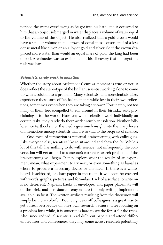noticed the water overflowing as he got into his bath, and it occurred to him that an object submerged in water displaces a volume of water equal to the volume of the object. He also realized that a gold crown would have a smaller volume than a crown of equal mass constructed of a less dense metal like silver, or an alloy of gold and silver. So if the crown displaced more water than would an equal mass of gold, the king had been duped. Archimedes was so excited about his discovery that he forgot his tush was bare.

#### *Scientists rarely work in isolation*

Whether the story about Archimedes' eureka moment is true or not, it does reflect the stereotype of the brilliant scientist working alone to come up with a solution to a problem. Many scientists, and nonscientists alike, experience these sorts of "ah ha" moments while lost in their own reflections, sometimes even when they are taking a shower. Fortunately, not too many of them feel compelled to run around in their birthday suits proclaiming it to the world. However, while scientists work individually on certain tasks, they rarely do their work entirely in isolation. Neither folklore, nor textbooks, nor the media give much insight into the many levels of interactions among scientists that are so vital to the progress of science.

One form of interaction is informal brainstorming with colleagues. Like everyone else, scientists like to sit around and chew the fat. While a lot of this talk has nothing to do with science, not infrequently the conversation will get around to someone's current research project, and the brainstorming will begin. It may explore what the results of an experiment mean, what experiment to try next, or even something as banal as where to procure a necessary device or chemical. If there is a whiteboard, blackboard, or chart paper in the room, it will soon be covered with words, graphs, pictures, and formulae. Lack of a surface to write on is no deterrent. Napkins, backs of envelopes, and paper placemats will do the trick, and if restaurant crayons are the only writing implements available, so be it. The written artifacts resulting from the discussion will simply be more colorful. Bouncing ideas off colleagues is a great way to get a fresh perspective on one's own research because, after focusing on a problem for a while, it is sometimes hard to see the forest for the trees. Also, since individual scientists read different papers and attend different lectures and conferences, they may come across research potentially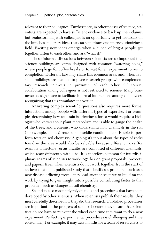relevant to their colleagues. Furthermore, in other phases of science, scientists are expected to have sufficient evidence to back up their claims, but brainstorming with colleagues is an opportunity to get feedback on the hunches and crazy ideas that can sometimes end up revolutionizing a field. Exciting new ideas emerge when a bunch of bright people get together, listen to each other, and ask "what if?"

These informal discussions between scientists are so important that science buildings are often designed with common "watering holes," where people go for coffee breaks or to wait for an experiment to run to completion. Different labs may share this common area, and, when feasible, buildings are planned to place research groups with complementary research interests in proximity of each other. Of course, collaboration among colleagues is not restricted to science. Many businesses design space to facilitate informal interactions among employees, recognizing that this stimulates innovation.

Answering complex scientific questions also requires more formal interactions among people with different types of expertise. For example, determining how acid rain is affecting a forest would require a biologist who knows about plant metabolism and is able to gauge the health of the trees, and a chemist who understands how chemicals in the soil (for example, metals) react under acidic conditions and is able to perform tests on soil chemistry. A geologist's input about the types of rocks found in the area would also be valuable because different rocks (for example, limestone versus granite) are composed of different chemicals, which react differently with acid. It is therefore common for interdisciplinary teams of scientists to work together on grant proposals, projects, and papers. Even when scientists do not work together from the start of an investigation, a published study that identifies a problem—such as a new disease afflicting trees—may lead another scientist to build on the work by trying to gain insight into a possible contributing factor to that problem—such as changes in soil chemistry.

Scientists also constantly rely on tools and procedures that have been developed by other scientists. When scientists publish their results, they must carefully describe how they did the research. Published procedures are important to the progress of science because they ensure that scientists do not have to reinvent the wheel each time they want to do a new experiment. Perfecting experimental procedures is challenging and time consuming. For example, it may take months for a team of researchers to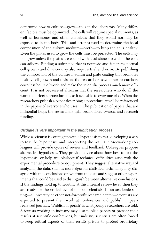determine how to culture—grow—cells in the laboratory. Many different factors must be optimized. The cells will require special nutrients, as well as hormones and other chemicals that they would normally be exposed to in the body. Trial and error is used to determine the ideal composition of the culture medium—broth—to keep the cells healthy. Even the plates used to grow the cells must be perfected. The cells may not grow unless the plates are coated with a substance to which the cells can adhere. Finding a substance that is nontoxic and facilitates normal cell growth and division may also require trial and error. By publishing the composition of the culture medium and plate coating that promotes healthy cell growth and division, the researchers save other researchers countless hours of work, and make the scientific process much more efficient. It is not because of altruism that the researchers who do all the work to perfect a procedure make it available to everyone else. When the researchers publish a paper describing a procedure, it will be referenced in the papers of everyone who uses it. The publication of papers that are influential helps the researchers gain promotions, awards, and research funding.

#### *Critique is very important in the publication process*

While a scientist is coming up with a hypothesis to test, developing a way to test the hypothesis, and interpreting the results, close-working colleagues will provide cycles of review and feedback. Colleagues propose alternative hypotheses. They provide advice about how best to test the hypothesis, or help troubleshoot if technical difficulties arise with the experimental procedure or equipment. They suggest alternative ways of analyzing the data, such as more rigorous statistical tests. They may disagree with the conclusions drawn from the data and suggest other experiments that could be used to distinguish between alternative conclusions. If the findings hold up to scrutiny at this internal review level, then they are ready for the critical eye of outside scientists. In an academic setting—a university or other not-for-profit research center—scientists are expected to present their work at conferences and publish in peerreviewed journals. "Publish or perish" is what young researchers are told. Scientists working in industry may also publish papers or present their results at scientific conferences, but industry scientists are often forced to keep critical aspects of their results private to protect proprietary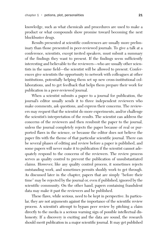knowledge, such as what chemicals and procedures are used to make a product or what compounds show promise toward becoming the next blockbuster drugs.

Results presented at scientific conferences are usually more preliminary than those presented in peer-reviewed journals. To give a talk at a conference, scientists, except invited speakers, must submit a summary of the findings they want to present. If the findings seem sufficiently interesting and believable to the reviewers—who are usually other scientists in the same field—the scientist will be allowed to present. Conferences give scientists the opportunity to network with colleagues at other institutions, potentially helping them set up new cross-institutional collaborations, and to get feedback that helps them prepare their work for publication in a peer-reviewed journal.

When a scientist submits a paper to a journal for publication, the journal's editor usually sends it to three independent reviewers who make comments, ask questions, and express their concerns. The reviewers may request that the scientist do more experiments, and/or challenge the scientist's interpretation of the results. The scientist can address the concerns of the reviewers and then resubmit the paper to the journal, unless the journal completely rejects the paper because of real or purported flaws in the science, or because the editor does not believe the paper fits with the theme of that particular scientific journal. There can be several phases of editing and review before a paper is published, and some papers will never make it to publication if the scientist cannot adequately respond to the concerns of the reviewers. The review process serves as quality control to prevent the publication of unsubstantiated claims. However, like any quality control process, it sometimes rejects outstanding work, and sometimes permits shoddy work to get through. As discussed later in the chapter, papers that are simply "before their time" may be rejected by the journal or, even if published, ignored by the scientific community. On the other hand, papers containing fraudulent data may make it past the reviewers and be published.

These flaws, while serious, need to be kept in perspective. In particular, they are not arguments against the importance of the scientific review process. A scientist's attempt to bypass peer review by pitching a claim directly to the media is a serious warning sign of possible intellectual dishonesty. If a discovery is exciting and the data are sound, the research should merit publication in a major scientific journal. It may get published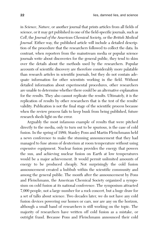in *Science*, *Nature*, or another journal that prints articles from all fields of science, or it may get published in one of the field-specific journals, such as *Cell*, the *Journal of the American Chemical Society*, or the *British Medical Journal*. Either way, the published article will include a detailed description of the procedure that the researchers followed to collect the data. In contrast, when reporters from the mainstream media or popular science journals write about discoveries for the general public, they tend to skim over the details about the methods used by the researchers. Popular accounts of scientific discovery are therefore considerably more palatable than research articles in scientific journals, but they do not contain adequate information for other scientists working in the field. Without detailed information about experimental procedures, other researchers are unable to determine whether there could be an alternative explanation for the results. They also cannot replicate the results. Ultimately, it is the replication of results by other researchers that is the test of the results' validity. Publication is not the final stage of the scientific process because when the review process fails to keep bunk from being published, future research sheds light on the error.

Arguably the most infamous example of results that were pitched directly to the media, only to turn out to be spurious, is the case of cold fusion. In the spring of 1989, Stanley Pons and Martin Fleischmann held a news conference to make the stunning announcement that they had managed to fuse atoms of deuterium at room temperature without using expensive equipment. Nuclear fusion provides the energy that powers the sun, and achieving nuclear fusion on Earth at low temperatures would be a major achievement. It would permit unlimited amounts of energy to be produced cheaply. Not surprisingly the cold fusion announcement created a hubbub within the scientific community and among the general public. The month after the announcement by Pons and Fleischmann, the American Chemical Society organized a symposium on cold fusion at its national conference. The symposium attracted 7,000 people, not a large number for a rock concert, but a huge draw for a set of talks about science. Two decades later, we do not have any cold fusion devices powering our homes or cars, nor are any on the horizon, although a small band of researchers is still working on the topic. The majority of researchers have written off cold fusion as a mistake, or outright fraud. Because Pons and Fleischmann announced their cold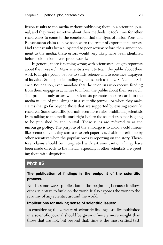fusion results to the media without publishing them in a scientific journal, and they were secretive about their methods, it took time for other researchers to come to the conclusion that the signs of fusion Pons and Fleischmann claim to have seen were the result of experimental errors. Had their results been subjected to peer review before their announcement to the media, these errors would very likely have been identified before cold fusion fever spread worldwide.

In general, there is nothing wrong with scientists talking to reporters about their research. Many scientists want to teach the public about their work to inspire young people to study science and to convince taxpayers of its value. Some public funding agencies, such as the U.S. National Science Foundation, even mandate that the scientists who receive funding from them engage in activities to inform the public about their research. The problem only arises when scientists promote their research to the media in lieu of publishing it in a scientific journal, or when they make claims that go far beyond those that are supported by existing scientific research. Some scientific journals even have rules prohibiting scientists from talking to the media until right before the scientist's paper is going to be published by the journal. These rules are referred to as the **embargo policy**. The purpose of the embargo is to avoid a cold fusionlike scenario by making sure a research paper is available for critique by other scientists when the popular press is reporting on the story. Therefore, claims should be interpreted with extreme caution if they have been made directly to the media, especially if other scientists are greeting them with skepticism.

# Myth #5

#### The publication of findings is the endpoint of the scientific process.

No. In some ways, publication is the beginning because it allows other scientists to build on the work. It also exposes the work to the scrutiny of any scientist around the world.

#### Implications for making sense of scientific issues:

In considering the veracity of scientific findings, studies published in a scientific journal should be given infinitely more weight than those that are not, but beyond that, time is the most critical test.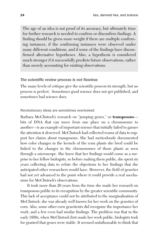The age of an idea is not proof of its accuracy, but ultimately time for further research is needed to confirm or disconfirm findings. A finding should be given more weight if there are multiple confirming instances, if the confirming instances were observed under many different conditions, and if some of the findings have disconfirmed alternative hypotheses. Also, a hypothesis is considered much stronger if it successfully predicts future observations, rather than merely accounting for existing observations.

#### *The scientific review process is not flawless*

The many levels of critique give the scientific process its strength, but no process is perfect. Sometimes good science does not get published, and sometimes bad science does.

#### Revolutionary ideas are sometimes overlooked

Barbara McClintock's research on "jumping genes," or **transposons** bits of DNA that can move from one place on a chromosome to another—is an example of important science that initially failed to garner the attention it deserved. McClintock had collected reams of data to support her claims about transposons. She had meticulously documented how color changes in the kernels of the corn plants she bred could be linked to the changes in the chromosomes of those plants as seen through a microscope. She knew that her findings would come as a surprise to her fellow biologists, so before making them public, she spent six years collecting data to refute the objections to her findings that she anticipated other researchers would have. However, the field of genetics had not yet advanced to the point where it could provide a real mechanism for McClintock's observations.

It took more than 20 years from the time she made her research on transposons public to its recognition by the greater scientific community. This lack of acceptance could not be attributed to the marginalization of McClintock; she was already well known for her work on the genetics of corn. Also, some other corn geneticists did recognize the importance her work, and a few even had similar findings. The problem was that in the early 1950s, when McClintock first made her work public, biologists took for granted that genes were stable. It seemed unfathomable to think that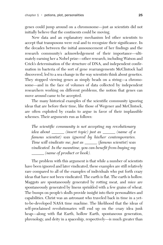genes could jump around on a chromosome—just as scientists did not initially believe that the continents could be moving.

New data and an explanatory mechanism led other scientists to accept that transposons were real and to recognize their significance. In the decades between the initial announcement of her findings and the research community's acknowledgement of their importance—ultimately earning her a Nobel prize—other research, including Watson and Crick's determination of the structure of DNA, and independent confirmation in bacteria of the sort of gene rearrangements McClintock had discovered, led to a sea change in the way scientists think about genetics. They stopped viewing genes as simply beads on a string—a chromosome—and in the face of volumes of data collected by independent researchers working on different problems, the notion that genes can move around came to be accepted.

The many historical examples of the scientific community ignoring ideas that are before their time, like those of Wegener and McClintock, are often exploited by cranks to argue in favor of their implausible schemes. Their arguments run as follows:

*The scientific community is not accepting my revolutionary idea about \_\_\_\_\_\_ (insert topic) just as \_\_\_\_\_\_ (name of a famous scientist) was ignored by his/her contemporaries. Time will vindicate me, just as \_\_\_\_\_\_ (famous scientist) was vindicated. In the meantime, you can benefit from buying my \_\_\_\_\_\_ (name of product or book).*

The problem with this argument is that while a number of scientists have been ignored and later vindicated, these examples are still relatively rare compared to all of the examples of individuals who put forth crazy ideas that have not been vindicated. The earth is flat. The earth is hollow. Maggots are spontaneously generated by rotting meat, and mice are spontaneously generated by linens sprinkled with a few grains of wheat. The bumps on people's skulls provide insight into their personalities and capabilities. Christ was an astronaut who traveled back in time in a yetto-be-developed NASA time machine. The likelihood that the ideas of self-proclaimed revolutionaries will end up on the crazy idea junk heap—along with flat Earth, hollow Earth, spontaneous generation, phrenology, and deity in a spaceship, respectively—is much greater than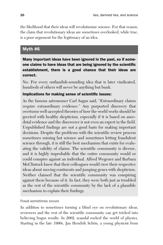the likelihood that their ideas will revolutionize science. For that reason, the claim that revolutionary ideas are sometimes overlooked, while true, is a poor argument for the legitimacy of an idea.

# Myth #6

# Many important ideas have been ignored in the past, so if someone claims to have ideas that are being ignored by the scientific establishment, there is a good chance that their ideas are correct.

No. For every outlandish-sounding idea that is later vindicated, hundreds of others will never be anything but bunk.

#### Implications for making sense of scientific issues:

As the famous astronomer Carl Sagan said, "Extraordinary claims require extraordinary evidence." Any purported discovery that overturns well-accepted theories of how the world works should be greeted with healthy skepticism, especially if it is based on anecdotal evidence and the discoverer is not even an expert in the field. Unpublished findings are not a good basis for making important decisions. Despite the problems with the scientific review process sometimes missing hot science and sometimes letting fraudulent science through, it is still the best mechanism that exists for evaluating the validity of claims. The scientific community is diverse, and it is highly improbable that the entire community would or could conspire against an individual. Alfred Wegener and Barbara McClintock knew that their colleagues would view their respective ideas about moving continents and jumping genes with skepticism. Neither claimed that the scientific community was conspiring against them because of it. In fact, they were both just as troubled as the rest of the scientific community by the lack of a plausible mechanism to explain their findings.

#### Fraud sometimes occurs

In addition to sometimes turning a blind eye on revolutionary ideas, reviewers and the rest of the scientific community can get tricked into believing bogus results. In 2002, scandal rocked the world of physics. Starting in the late 1990s, Jan Hendrik Schön, a young physicist from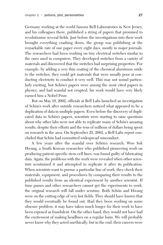Germany working at the world famous Bell Laboratories in New Jersey, and his colleagues there, published a string of papers that promised to revolutionize several fields. Just before the investigations into their work brought everything crashing down, the group was publishing at the remarkable rate of one paper every eight days, mostly in major journals. The researchers had been working on tiny electrical switches similar to the ones used in computers. They developed switches from a variety of materials and discovered that the switches had surprising properties. For example, by adding a very thin coating of the chemical aluminum oxide to the switches, they could get materials that were usually poor at conducting electricity to conduct it very well. This may not sound particularly exciting, but Schön's papers were among the most cited papers in physics, and had scandal not erupted, his work would have very likely earned him a Nobel Prize.

But on May 10, 2002, officials at Bell Labs launched an investigation of Schön's work after outside researchers noticed what appeared to be a duplication of data in multiple papers. Even before the discovery of duplicated data in Schön's papers, scientists were starting to raise questions about why other labs were not able to replicate many of Schön's amazing results, despite their efforts and the tens of millions of dollars being spent on research in the area. On September 25, 2002, a Bell Labs report concluded that Schön had committed widespread misconduct.

A few years after the scandal over Schön's research, Woo Suk Hwang, a South Korean researcher who published pioneering work on producing patient-specific stem cell lines, was found guilty of fabricating data. Again, the problems with the work were revealed when other scientists scrutinized it and attempted to replicate it after its publication. When scientists want to pursue a particular line of work, they check their materials, equipment, and procedures by comparing their results to the published results from an identical experiment by another scientist. If time passes and other researchers cannot get the experiments to work, the original research will fall under scrutiny. Both Schön and Hwang were on the cutting edge of very hot fields. They should have known that they would eventually be found out. Had they been working on some obscure problem, it may have taken much longer for their work to have been exposed as fraudulent. On the other hand, they would not have had the excitement of making headlines on a regular basis. We will probably never know why they acted unethically, but in the end, their careers were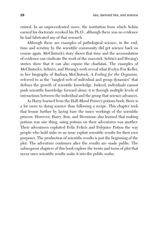ruined. In an unprecedented move, the institution from which Schön earned his doctorate revoked his Ph.D., although there was no evidence he had fabricated any of that research.

Although these are examples of pathological science, in the end, time and scrutiny by the scientific community did get science back on course again. McClintock's story shows that time and the accumulation of evidence can vindicate the work of the maverick. Schön's and Hwang's stories show that it can also expose the charlatan. The examples of McClintock's, Schön's, and Hwang's work reveal what Evelyn Fox Keller, in her biography of Barbara McClintock, *A Feeling for the Organism*, referred to as the "tangled web of individual and group dynamics" that defines the growth of scientific knowledge. Indeed, individuals cannot push scientific knowledge forward alone; it is through multiple levels of interactions between the individual and the group that science advances.

As Harry learned from the Half-Blood Prince's potions book, there is a lot more to doing science than following a recipe. This chapter took that lesson further by laying bare the inner workings of the scientific process. However, Harry, Ron, and Hermione also learned that making potions was one thing, using potions on their adventures was another. Their adventures exploited Felix Felicis and Polyjuice Potion the way people who hold stake in an issue exploit scientific results for their own purposes. The production of scientific results is just the beginning of the plot. The adventure continues after the results are made public. The subsequent chapters of this book explore the twists and turns of plot that occur once scientific results make it into the public realm.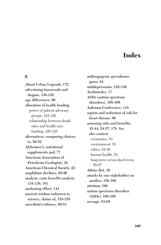# **Index**

# A

**About Urban Legends, 172 advertising buzzwords and slogans, 148-152 age differences, 90 allocation of health funding** power of patient advocacy groups, 123-126 relationship between death rates and health care funding, 120-123 **alternatives, comparing choices to, 50-52 Alzheimer's, nutritional supplements and, 77 American Association of Petroleum Geologists, 16 American Chemical Society, 22 amphibian declines, 95-96 analysis, costs benefits analysis, 134-136, 181 anchoring effect, 144 ancient wisdom unknown to science, claims of, 153-155 anecdotal evidence, 80-81**

**anthropogenic greenhouse gases, 84 antidepressants, 128-130 Archimedes, 17 ASDs (autism spectrum disorders), 108-109 Asilomar Conference, 116 aspirin and reduction of risk for heart disease, 90 assessing risks and benefits, 43-44, 54-57, 178.** *See also* **context** economics, 53 environment, 53 ethics, 54-55 human health, 53 long-term versus short-term, 55-57 **Atkins diet, 39 attacks by one stakeholder on another, 158-160 attrition, 106 autism spectrum disorders (ASDs), 108-109 average, 63-65**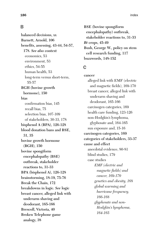#### B

**balanced decisions, [xx](#page-5-0) Barnett, Arnold, 106 benefits, assessing, 43-44, 54-57, 178.** *See also* **context** economics, 53 environment, 53 ethics, 54-55 human health, 53 long-term versus short-term, 55-57 **BGH (bovine growth hormone), 150 bias** confirmation bias, 145 recall bias, 75 selection bias, 107-109 of stakeholders, 30-33, 178 **bisphenol A (BPA), 126-128 blood donation bans and BSE, 31, 35 bovine growth hormone (BGH), 150 bovine spongiform encephalopathy (BSE) outbreak, stakeholder reactions to, 31-33 BPA (bisphenol A), 126-128 brainstorming, 18-19, 75-76 Break the Chain, 172 breakdowns in logic.** *See* **logic breast cancer, alleged link with underarm shaving and deodorant, 165-166 Brescoll, Victoria, 40 Broken Telephone game analogy, 38**

**BSE (bovine spongiform encephalopathy) outbreak, stakeholder reactions to, 31-33** *Bt* **crops, 45-49 Bush, George W., policy on stem cell research funding, 117 buzzwords, 148-152**

# C

**cancer** alleged link with EMF (electric and magnetic fields), 169-170 breast cancer, alleged link with underarm shaving and deodorant, 165-166 carcinogen categories, 169 health care funding, 123-126 non-Hodgkin's lymphoma, glyphosate and, 164-165 sun exposure and, 15-16 **carcinogen categories, 169 categories of stakeholders, 33-37 cause and effect** anecdotal evidence, 80-81 blind studies, 179 case studies *EMF (electric and magnetic fields) and cancer, 169-170 genetics and obesity, 168 global warming and hurricane frequency, 166-168 glyphosate and non-Hodgkin's lymphoma, 164-165*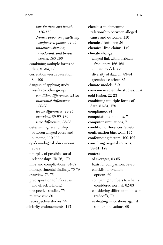*low-fat diets and health, 170-171 Nature paper on genetically engineered plants, 44-49 underarm shaving, deodorant, and breast cancer, 165-166* combining multiple forms of data, 81-84, 179 correlation versus causation, 84, 100 dangers of applying study results to other groups *condition differences, 95-96 individual differences, 90-93 locale differences, 93-95 overview, 89-90, 180 time differences, 96-98* determining relationship between alleged cause and outcome, 110-111 epidemiological observations, 76-79 interplay of possible causal relationships, 75-76, 179 links and complications, 84-87 nonexperimental findings, 76-79 overview, 73-75 predisposition to link cause and effect, 141-142 prospective studies, 75 relative risk, 80 retrospective studies, 75 **celebrity endorsements, 147**

**checklist to determine relationship between alleged cause and outcome, 110 chemical fertilizer, 56 chemical-free claims, 149 climate change** alleged link with hurricane frequency, 166-168 climate models, 8-9 diversity of data on, 83-84 greenhouse effect, 85 **climate models, 8-9 coercion in scientific studies, 114 cold fusion, 22-23 combining multiple forms of data, 81-84, 179 compliance, 91 computational models, 7 computer simulations, 7 condition differences, 95-96 confirmation bias, [xxiii,](#page-8-0) 145 confounding factors, 100-102 consulting original sources, 38-41, 178 context** of averages, 63-65 basis for comparison, 69-70 checklist to evaluate options, 69 comparing numbers to what is considered normal, 62-63 considering different themes of tradeoffs, 70 evaluating innovations against similar innovations, 60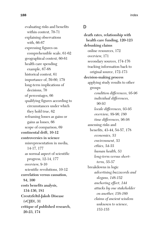evaluating risks and benefits within context, 70-71 explaining observations with, 66-67 expressing figures on comprehensible scale, 61-62 geographical context, 60-61 health care spending example, 67-68 historical context, 61 importance of, 59-60, 179 long-term implications of decisions, 70 of percentages, 66 qualifying figures according to circumstances under which they hold true, 62 reframing losses as gains or gains as losses, 66 scope of comparison, 69 **continental drift, 10-12 controversies in science** misrepresentation in media, 14-17, 177 as normal aspect of scientific progress, 12-14, 177 overview, 9-10 scientific revolutions, 10-12 **correlation versus causation, 84, 100 costs benefits analysis, 134-136, 181 Creutzfeltd-Jakob Disease (vCJD), 31 critique of published research,**

**20-23, 174**

# D

**death rates, relationship with health care funding, 120-123 debunking claims** online resources, 172 overview, 171 secondary sources, 174-176 tracking information back to original source, 172-173 **decision-making process** applying study results to other groups *condition differences, 95-96 individual differences, 90-93 locale differences, 93-95 overview, 89-90, 180 time differences, 96-98* assessing risks and benefits, 43-44, 54-57, 178 *economics, 53 environment, 53 ethics, 54-55 human health, 53 long-term versus shortterm, 55-57* breakdowns in logic *advertising buzzwords and slogans, 148-152 anchoring effect, 144 attacks by one stakeholder on another, 158-160 claims of ancient wisdom unknown to science, 153-155*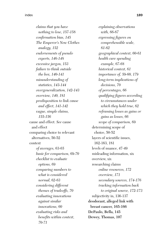*claims that you have nothing to lose, 157-158 confirmation bias, 145 The Emperor's New Clothes analogy, 152 endorsements of pseudo experts, 146-148 excessive jargon, 153 failure to think outside the box, 140-141 misunderstanding of statistics, 143-144 overgeneralization, 142-143 overview, 140, 181 predisposition to link cause and effect, 141-142 vague, simple claims, 155-156* cause and effect. *See* cause and effect comparing choice to relevant alternatives, 50-52 context *of averages, 63-65 basic for comparison, 69-70 checklist to evaluate options, 69 comparing numbers to what is considered normal, 62-63 considering different themes of tradeoffs, 70 evaluating innovations against similar innovations, 60 evaluating risks and benefits within context, 70-71*

*explaining observations with, 66-67 expressing figures on comprehensible scale, 61-62 geographical context, 60-61 health care spending example, 67-68 historical context, 61 importance of, 59-60, 179 long-term implications of decisions, 70 of percentages, 66 qualifying figures according to circumstances under which they hold true, 62 reframing losses as gains or gains as losses, 66 scope of comparison, 69* determining scope of choice, 50-52 layers of scientific issues, 162-163, 181 levels of nuance, 47-49 misleading information, [xix](#page-4-0) overview, [xix](#page-4-0) researching claims *online resources, 172 overview, 171 secondary sources, 174-176 tracking information back to original source, 172-173* subjectivity in, 136-137 **deodorant, alleged link with breast cancer, 165-166 DePaulo, Bella, 145 Dewey, Thomas, 107**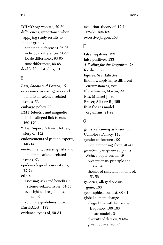**DHMO.org website, 29-30 differences, importance when applying study results to other groups** condition differences, 95-96 individual differences, 90-93 locale differences, 93-95 time differences, 96-98 **double blind studies, 79**

# E

*Eats, Shoots and Leaves***, 151 economics, assessing risks and benefits in science-related issues, 53 embargo policy, 23 EMF (electric and magnetic fields), alleged link to cancer, 169-170 "The Emperor's New Clothes," story of, 152 endorsements of pseudo experts, 146-148 environment, assessing risks and benefits in science-related issues, 53 epidemiological observations, 75-79 ethics** assessing risks and benefits in science-related issues, 54-55 oversight and regulations, 114-115 voluntary guidelines, 115-117 **EurekAlert!, 173 evidence, types of, 80-84**

**evolution, theory of, 12-14, 82-83, 158-159 excessive jargon, 153**

#### F

**false negatives, 133 false positives, 133** *A Feeling for the Organism***, 28 fertilizer, 56 figures.** *See* **statistics findings, applying to different circumstances, [xxiii](#page-8-1) Fleischmann, Martin, 22 Fox, Michael J., 36 Fraser, Alistair B., 155 fruit flies as model organisms, 91-92**

# G

**gains, reframing as losses, 66 Gambler's Fallacy, 143 gender differences, 90** media reporting about, 40-41 **genetically engineered plants,** *Nature* **paper on, 44-49** precautionary principle and, 133-134 themes of risks and benefits of, 53-56 **genetics, alleged obesity gene, 168 geographical context, 60-61 global climate change** alleged link with hurricane frequency, 166-168 climate models, 8 diversity of data on, 83-84 greenhouse effect, 85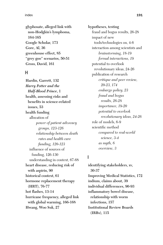**glyphosate, alleged link with non-Hodgkin's lymphoma, 164-165 Google Scholar, 173 Gore, Al, 36 greenhouse effect, 85 "grey goo" scenarios, 50-51 Gross, David, 161**

#### H

**Hardin, Garrett, 132** *Harry Potter and the Half-Blood Prince***, 1 health, assessing risks and benefits in science-related issues, 53 health funding** allocation of *power of patient advocacy groups, 123-126 relationship between death rates and health care funding, 120-123* influence of sources of funding, 126-130 understanding in context, 67-68 **heart disease, reducing risk of with aspirin, 90 historical context, 61 hormone replacement therapy (HRT), 76-77 hot flashes, 13-14 hurricane frequency, alleged link with global warming, 166-168 Hwang, Woo Suk, 27**

**hypotheses, testing** fraud and bogus results, 26-28 impact of new tools/technologies on, 4-6 interaction among scientists and *brainstorming, 18-19 formal interactions, 19* potential to overlook revolutionary ideas, 24-26 publication of research *critique and peer review, 20-23, 174 embargo policy, 23 fraud and bogus results, 26-28 importance, 19-20 potential to overlook revolutionary ideas, 24-26* role of models, 6-9 scientific method *compared to real-world science, 3-4 as myth, 6 overview, 3*

# I

**identifying stakeholders, xv, 30-37 Improving Medical Statistics, 172 indium, claims about, 39 individual differences, 90-93 inflammatory bowel disease, relationship with worm infections, 157 Institutional Review Boards (IRBs), 115**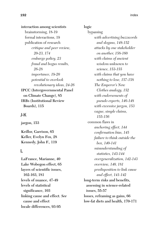**interaction among scientists** brainstorming, 18-19 formal interactions, 19 publication of research *critique and peer review, 20-23, 174 embargo policy, 23 fraud and bogus results, 26-28 importance, 19-20 potential to overlook revolutionary ideas, 24-26* **IPCC (Intergovernmental Panel on Climate Change), 85 IRBs (Institutional Review Boards), 115**

# J-K

**jargon, 153**

**Keillor, Garrison, 65 Keller, Evelyn Fox, 28 Kennedy, John F., 119**

# L

**LaFrance, Marianne, 40 Lake Wobegon effect, 65 layers of scientific issues, 162-163, 181 levels of nuance, 47-49 levels of statistical significance, 103 linking cause and effect.** *See* **cause and effect locale differences, 93-95**

#### **logic**

bypassing *with advertising buzzwords and slogans, 148-152 attacks by one stakeholder on another, 158-160 with claims of ancient wisdom unknown to science, 153-155 with claims that you have nothing to lose, 157-158 The Emperor's New Clothes analogy, 152 with endorsements of pseudo experts, 146-148 with excessive jargon, 153 vague, simple claims, 155-156* common flaws in *anchoring effect, 144 confirmation bias, 145 failure to think outside the box, 140-141 misunderstanding of statistics, 143-144 overgeneralization, 142-143 overview, 140, 181 predisposition to link cause and effect, 141-142* **long-term risks and benefits, assessing in science-related issues, 55-57 losses, reframing as gains, 66 low-fat diets and health, 170-171**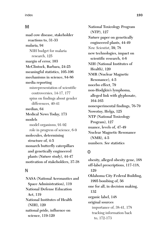# M

**mad cow disease, stakeholder reactions to, 31-33 malaria, 94** NIH budget for malaria research, 125 **margin of error, 103 McClintock, Barbara, 24-25 meaningful statistics, 105-106 mechanisms in science, 84-86 media reporting** misrepresentation of scientific controversies, 14-17, 177 spins on findings about gender differences, 40-41 **median, 64 Medical News Today, 173 models** model organisms, 91-92 role in progress of science, 6-9 **molecules, determining structure of, 4-5 monarch butterfly caterpillars and genetically engineered plants (***Nature* **study), 44-47 motivation of stakeholders, 37-38**

# N

**NASA (National Aeronautics and Space Administration), 119 National Defense Education Act, 119 National Institutes of Health (NIH), 120 national pride, influence on science, 119-120**

**National Toxicology Program (NTP), 127** *Nature* **paper on genetically engineered plants, 44-49** *New Scientist***, 59, 78 new technologies, impact on scientific research, 4-6 NIH (National Institutes of Health), 120 NMR (Nuclear Magnetic Resonance), 4-5 nocebo effect, 79 non-Hodgkin's lymphoma, alleged link with glyphosate, 164-165 nonexperimental findings, 76-79 Nowotny, Helga, 125 NTP (National Toxicology Program), 127 nuance, levels of, 47-49 Nuclear Magnetic Resonance (NMR), 4-5 numbers.** *See* **statistics**

# O

**obesity, alleged obesity gene, 168 off-label prescriptions, 117-118, 129 Oklahoma City Federal Building, 1995 bombing of, 56 one for all, in decision making, 132 organic label, 148 original sources** importance of, 38-41, 178 tracking information back to, 172-173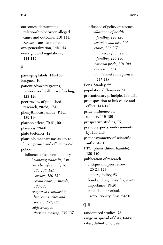**outcomes, determining relationship between alleged cause and outcome, 110-111.** *See also* **cause and effect overgeneralization, 142-143 oversight and regulations, 114-115**

#### P

**packaging labels, 148-150 Pangaea, 10 patient advocacy groups, power over health care funding, 123-126 peer review of published research, 20-23, 174 phenylthiocarbamide (PTC), 139-140 placebo effect, 79-81, 90 placebos, 79-80 plate tectonics, 12 plausible mechanisms as key to linking cause and effect, 84-87 policy** influence of science on policy *balancing tradeoffs, 132 costs benefits analysis, 134-136, 181 overview, 130-131 precautionary principle, 133-134 reciprocal relationship between science and society, 137, 180 subjectivity in decision-making, 136-137*

influence of policy on science *allocation of health funding, 120-126 coercion and lies, 114 ethics, 114-117 influence of sources of funding, 126-130 national pride, 119-120 overview, 113 unintended consequences, 117-118* **Pons, Stanley, 22 population differences, 90 precautionary principle, 133-134 predisposition to link cause and effect, 141-142 pride, influence on science, 119-120 prospective studies, 75 pseudo experts, endorsements by, 146-148 pseudosymmetry of scientific authority, 16 PTC (phenylthiocarbamide), 139-140 publication of research** critique and peer review, 20-23, 174 embargo policy, 23 fraud and bogus results, 26-28 importance, 19-20 potential to overlook revolutionary ideas, 24-26

# Q-R

**randomized studies, 78 range or spread of data, 64-65 rates, definition of, 99**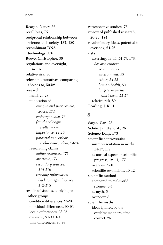**Reagan, Nancy, 36 recall bias, 75 reciprocal relationship between science and society, 137, 180 recombinant DNA technology, 116 Reeve, Christopher, 36 regulations and oversight, 114-115 relative risk, 80 relevant alternatives, comparing choices to, 50-52 research** fraud, 26-28 publication of *critique and peer review, 20-23, 174 embargo policy, 23 fraud and bogus results, 26-28 importance, 19-20 potential to overlook revolutionary ideas, 24-26* researching claims *online resources, 172 overview, 171 secondary sources, 174-176 tracking information back to original source, 172-173* **results of studies, applying to other groups** condition differences, 95-96 individual differences, 90-93 locale differences, 93-95 overview, 89-90, 180 time differences, 96-98

**retrospective studies, 75 review of published research, 20-23, 174 revolutionary ideas, potential to overlook, 24-26 risks** assessing, 43-44, 54-57, 178. *See also* context *economics, 53 environment, 53 ethics, 54-55 human health, 53 long-term versus short-term, 55-57* relative risk, 80 **Rowling, J. K., 1**

# S

**Sagan, Carl, 26 Schön, Jan Hendrik, 26 Science Daily, 173 scientific controversies** misrepresentation in media, 14-17, 177 as normal aspect of scientific progress, 12-14, 177 overview, 9-10 scientific revolutions, 10-12 **scientific method** compared to real-world science, 3-4 as myth, 6 overview, 3 **scientific myths** ideas ignored by the establishment are often correct, 26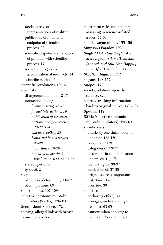models are visual representations of reality, 9 publication of findings is endpoint of scientific process, 23 scientific disputes are indication of problem with scientific process, 17 science is progressive accumulation of new facts, 14 scientific method, 6 **scientific revolutions, 10-12 scientists** disagreement among, 12-17 interaction among *brainstorming, 18-19 formal interactions, 19 publication of research critique and peer review, 20-23, 174 embargo policy, 23 fraud and bogus results, 26-28 importance, 19-20 potential to overlook revolutionary ideas, 24-26* stereotypes of, 2 types of, 2 **scope** of choices, determining, 50-52 of comparisons, 69 **selection bias, 107-109 selective serotonin reuptake inhibitors (SSRIs), 128-130 Sense About Science, 172 shaving, alleged link with breast cancer, 165-166**

**short-term risks and benefits, assessing in science-related issues, 55-57 simple, vague claims, 155-156 Simpson's Paradox, 102** *Singled Out: How Singles Are Stereotyped, Stigmatized, and Ignored, and Still Live Happily Ever After* **(DePaulo), 145** *Skeptical Inquirer***, 172 slogans, 148-152 Snopes, 172 society, relationship with science, [xvii](#page-2-0) sources, tracking information back to original source, 172-173 Sputnik, 119 SSRIs (selective serotonin reuptake inhibitors), 128-130 stakeholders** attacks by one stakeholder on another, 158-160 bias, 30-33, 178 categories of, 33-37 distortions in communication chain, 38-41, 178 identifying, xv, 30-37 motivation of, 37-38 original sources, importance of, 38-41, 178 overview, 30 **statistics** anchoring effect, 144 averages, understanding in context, 63-65 cautions when applying to situations/populations, 106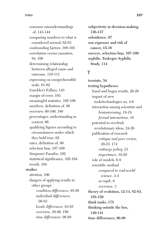common misunderstandings of, 143-144 comparing numbers to what is considered normal, 62-63 confounding factors, 100-102 correlation versus causation, 84, 100 determining relationship between alleged cause and outcome, 110-111 expressing on comprehensible scale, 61-62 Gambler's Fallacy, 143 margin of error, 103 meaningful statistics, 105-106 numbers, definition of, 99 overview, 99-100, 180 percentages, understanding in context, 66 qualifying figures according to circumstances under which they hold true, 62 rates, definition of, 99 selection bias, 107-109 Simpson's Paradox, 102 statistical significance, 102-104 trends, 104 **studies** attrition, 106 dangers of applying results to other groups *condition differences, 95-96 individual differences, 90-93 locale differences, 93-95 overview, 89-90, 180 time differences, 96-98*

**subjectivity in decision-making, 136-137 subsidence, 97 sun exposure and risk of cancer, 15-16 surveys, selection bias, 107-109 syphilis, Tuskegee Syphilis Study, 114**

# T

**teosinte, 54 testing hypotheses** fraud and bogus results, 26-28 impact of new tools/technologies on, 4-6 interaction among scientists and *brainstorming, 18-19 formal interactions, 19* potential to overlook revolutionary ideas, 24-26 publication of research *critique and peer review, 20-23, 174 embargo policy, 23 importance, 19-20* role of models, 6-9 scientific method *compared to real-world science, 3-4 as myth, 6 overview, 3* **theory of evolution, 12-14, 82-83, 158-159 think tanks, 175 thinking outside the box, 140-141 time differences, 96-98**